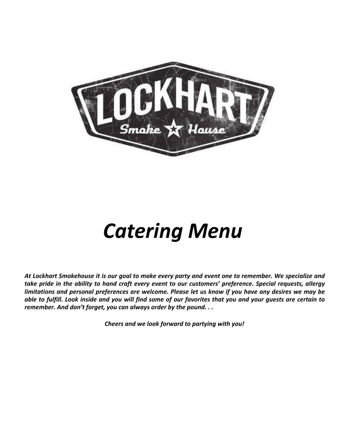

# *Catering Menu*

*At Lockhart Smokehouse it is our goal to make every party and event one to remember. We specialize and take pride in the ability to hand craft every event to our customers' preference. Special requests, allergy limitations and personal preferences are welcome. Please let us know if you have any desires we may be able to fulfill. Look inside and you will find some of our favorites that you and your guests are certain to remember. And don't forget, you can always order by the pound. . .* 

*Cheers and we look forward to partying with you!*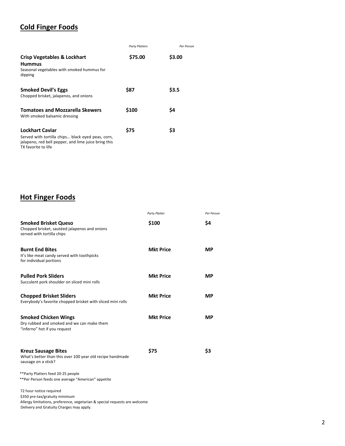## **Cold Finger Foods**

|                                                                                                                                                            | <b>Party Platters</b> | Per Person |
|------------------------------------------------------------------------------------------------------------------------------------------------------------|-----------------------|------------|
| <b>Crisp Vegetables &amp; Lockhart</b><br><b>Hummus</b><br>Seasonal vegetables with smoked hummus for<br>dipping                                           | \$75.00               | \$3.00     |
| <b>Smoked Devil's Eggs</b><br>Chopped brisket, jalapenos, and onions                                                                                       | \$87                  | \$3.5      |
| <b>Tomatoes and Mozzarella Skewers</b><br>With smoked balsamic dressing                                                                                    | \$100                 | \$4        |
| <b>Lockhart Caviar</b><br>Served with tortilla chips black eyed peas, corn,<br>jalapeno, red bell pepper, and lime juice bring this<br>TX favorite to life | \$75                  | \$3        |

# **Hot Finger Foods**

|                                                                                                                                                                                     | <b>Party Platter</b> | Per Person |
|-------------------------------------------------------------------------------------------------------------------------------------------------------------------------------------|----------------------|------------|
| <b>Smoked Brisket Queso</b><br>Chopped brisket, sautéed jalapenos and onions<br>served with tortilla chips                                                                          | \$100                | \$4        |
| <b>Burnt End Bites</b><br>It's like meat candy served with toothpicks<br>for individual portions                                                                                    | <b>Mkt Price</b>     | <b>MP</b>  |
| <b>Pulled Pork Sliders</b><br>Succulent pork shoulder on sliced mini rolls                                                                                                          | <b>Mkt Price</b>     | <b>MP</b>  |
| <b>Chopped Brisket Sliders</b><br>Everybody's favorite chopped brisket with sliced mini rolls                                                                                       | <b>Mkt Price</b>     | <b>MP</b>  |
| <b>Smoked Chicken Wings</b><br>Dry rubbed and smoked and we can make them<br>"inferno" hot if you request                                                                           | <b>Mkt Price</b>     | <b>MP</b>  |
| <b>Kreuz Sausage Bites</b><br>What's better than this over 100 year old recipe handmade<br>sausage on a stick?                                                                      | \$75                 | \$3        |
| **Party Platters feed 20-25 people<br>**Per Person feeds one average "American" appetite                                                                                            |                      |            |
| 72 hour notice required<br>\$350 pre-tax/gratuity minimum<br>Allergy limitations, preference, vegetarian & special requests are welcome<br>Delivery and Gratuity Charges may apply. |                      |            |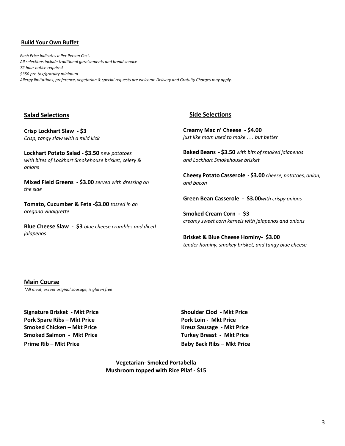#### **Build Your Own Buffet**

*Each Price Indicates a Per Person Cost. All selections include traditional garnishments and bread service 72 hour notice required \$350 pre-tax/gratuity minimum Allergy limitations, preference, vegetarian & special requests are welcome Delivery and Gratuity Charges may apply.*

#### **Salad Selections**

**Crisp Lockhart Slaw - \$3** *Crisp, tangy slaw with a mild kick*

**Lockhart Potato Salad - \$3.50** *new potatoes with bites of Lockhart Smokehouse brisket, celery & onions*

**Mixed Field Greens - \$3.00** *served with dressing on the side*

**Tomato, Cucumber & Feta -\$3.00** *tossed in an oregano vinaigrette*

**Blue Cheese Slaw - \$3** *blue cheese crumbles and diced jalapenos*

#### **Side Selections**

**Creamy Mac n' Cheese - \$4.00** *just like mom used to make . . . but better*

**Baked Beans - \$3.50** *with bits of smoked jalapenos and Lockhart Smokehouse brisket*

**Cheesy Potato Casserole - \$3.00** *cheese, potatoes, onion, and bacon*

**Green Bean Casserole - \$3.00***with crispy onions*

**Smoked Cream Corn - \$3** *creamy sweet corn kernels with jalapenos and onions* 

**Brisket & Blue Cheese Hominy- \$3.00** *tender hominy, smokey brisket, and tangy blue cheese*

#### **Main Course**

*\*All meat, except original sausage, is gluten free*

**Signature Brisket - Mkt Price Shoulder Clod - Mkt Price Pork Spare Ribs – Mkt Price Pork Loin - Mkt Price Smoked Chicken – Mkt Price Kreuz Sausage - Mkt Price Smoked Salmon - Mkt Price Turkey Breast - Mkt Price Prime Rib – Mkt Price Baby Back Ribs – Mkt Price**

**Vegetarian- Smoked Portabella Mushroom topped with Rice Pilaf - \$15**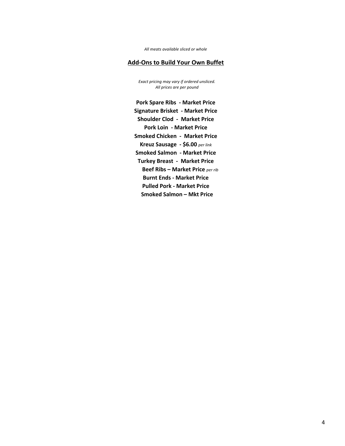*All meats available sliced or whole* 

#### **Add-Ons to Build Your Own Buffet**

*Exact pricing may vary if ordered unsliced. All prices are per pound* 

**Pork Spare Ribs - Market Price Signature Brisket - Market Price Shoulder Clod - Market Price Pork Loin - Market Price Smoked Chicken - Market Price Kreuz Sausage - \$6.00** *per link*  **Smoked Salmon - Market Price Turkey Breast - Market Price Beef Ribs – Market Price** *per rib*  **Burnt Ends - Market Price Pulled Pork - Market Price Smoked Salmon – Mkt Price**